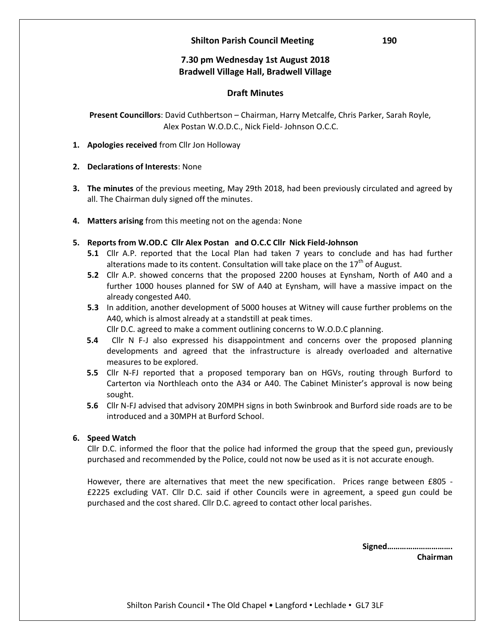## **Shilton Parish Council Meeting 190**

# **7.30 pm Wednesday 1st August 2018 Bradwell Village Hall, Bradwell Village**

# **Draft Minutes**

 **Present Councillors**: David Cuthbertson – Chairman, Harry Metcalfe, Chris Parker, Sarah Royle, Alex Postan W.O.D.C., Nick Field- Johnson O.C.C.

- **1. Apologies received** from Cllr Jon Holloway
- **2. Declarations of Interests**: None
- **3. The minutes** of the previous meeting, May 29th 2018, had been previously circulated and agreed by all. The Chairman duly signed off the minutes.
- **4. Matters arising** from this meeting not on the agenda: None
- **5. Reports from W.OD.C Cllr Alex Postan and O.C.C Cllr Nick Field-Johnson**
	- **5.1** Cllr A.P. reported that the Local Plan had taken 7 years to conclude and has had further alterations made to its content. Consultation will take place on the  $17<sup>th</sup>$  of August.
	- **5.2** Cllr A.P. showed concerns that the proposed 2200 houses at Eynsham, North of A40 and a further 1000 houses planned for SW of A40 at Eynsham, will have a massive impact on the already congested A40.
	- **5.3** In addition, another development of 5000 houses at Witney will cause further problems on the A40, which is almost already at a standstill at peak times.

Cllr D.C. agreed to make a comment outlining concerns to W.O.D.C planning.

- **5.4** Cllr N F-J also expressed his disappointment and concerns over the proposed planning developments and agreed that the infrastructure is already overloaded and alternative measures to be explored.
- **5.5** Cllr N-FJ reported that a proposed temporary ban on HGVs, routing through Burford to Carterton via Northleach onto the A34 or A40. The Cabinet Minister's approval is now being sought.
- **5.6** Cllr N-FJ advised that advisory 20MPH signs in both Swinbrook and Burford side roads are to be introduced and a 30MPH at Burford School.

## **6. Speed Watch**

Cllr D.C. informed the floor that the police had informed the group that the speed gun, previously purchased and recommended by the Police, could not now be used as it is not accurate enough.

However, there are alternatives that meet the new specification. Prices range between £805 - £2225 excluding VAT. Cllr D.C. said if other Councils were in agreement, a speed gun could be purchased and the cost shared. Cllr D.C. agreed to contact other local parishes.

> **Signed…………………………. Chairman**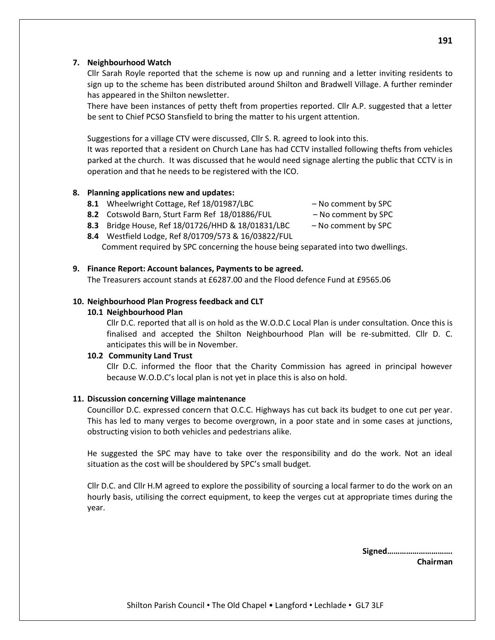## **7. Neighbourhood Watch**

Cllr Sarah Royle reported that the scheme is now up and running and a letter inviting residents to sign up to the scheme has been distributed around Shilton and Bradwell Village. A further reminder has appeared in the Shilton newsletter.

There have been instances of petty theft from properties reported. Cllr A.P. suggested that a letter be sent to Chief PCSO Stansfield to bring the matter to his urgent attention.

Suggestions for a village CTV were discussed, Cllr S. R. agreed to look into this.

It was reported that a resident on Church Lane has had CCTV installed following thefts from vehicles parked at the church. It was discussed that he would need signage alerting the public that CCTV is in operation and that he needs to be registered with the ICO.

## **8. Planning applications new and updates:**

- **8.1** Wheelwright Cottage, Ref 18/01987/LBC No comment by SPC
- **8.2** Cotswold Barn, Sturt Farm Ref 18/01886/FUL No comment by SPC
- **8.3** Bridge House, Ref 18/01726/HHD & 18/01831/LBC No comment by SPC
- **8.4** Westfield Lodge, Ref 8/01709/573 & 16/03822/FUL Comment required by SPC concerning the house being separated into two dwellings.

## **9. Finance Report: Account balances, Payments to be agreed.**

The Treasurers account stands at £6287.00 and the Flood defence Fund at £9565.06

## **10. Neighbourhood Plan Progress feedback and CLT**

#### **10.1 Neighbourhood Plan**

Cllr D.C. reported that all is on hold as the W.O.D.C Local Plan is under consultation. Once this is finalised and accepted the Shilton Neighbourhood Plan will be re-submitted. Cllr D. C. anticipates this will be in November.

#### **10.2 Community Land Trust**

Cllr D.C. informed the floor that the Charity Commission has agreed in principal however because W.O.D.C's local plan is not yet in place this is also on hold.

#### **11. Discussion concerning Village maintenance**

Councillor D.C. expressed concern that O.C.C. Highways has cut back its budget to one cut per year. This has led to many verges to become overgrown, in a poor state and in some cases at junctions, obstructing vision to both vehicles and pedestrians alike.

He suggested the SPC may have to take over the responsibility and do the work. Not an ideal situation as the cost will be shouldered by SPC's small budget.

Cllr D.C. and Cllr H.M agreed to explore the possibility of sourcing a local farmer to do the work on an hourly basis, utilising the correct equipment, to keep the verges cut at appropriate times during the year.

**Signed………………………….**

**Chairman**

- -
-